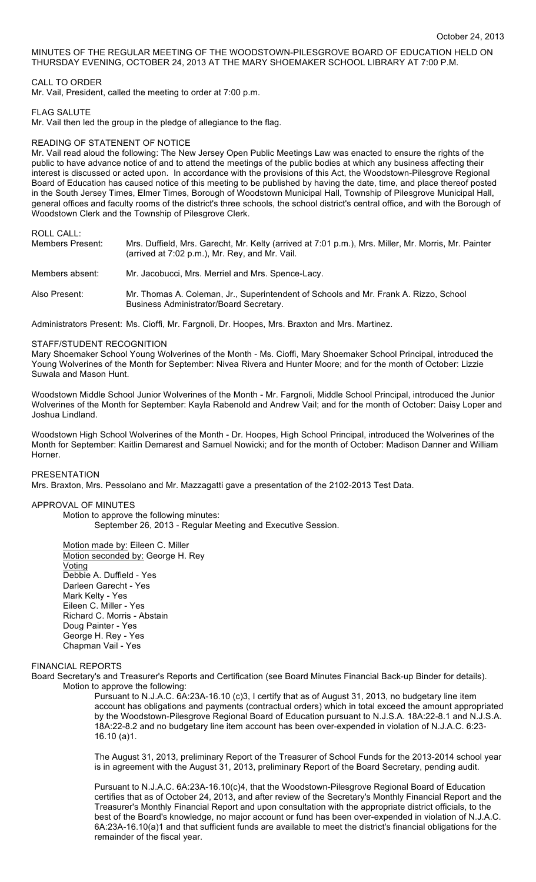### MINUTES OF THE REGULAR MEETING OF THE WOODSTOWN-PILESGROVE BOARD OF EDUCATION HELD ON THURSDAY EVENING, OCTOBER 24, 2013 AT THE MARY SHOEMAKER SCHOOL LIBRARY AT 7:00 P.M.

### CALL TO ORDER

Mr. Vail, President, called the meeting to order at 7:00 p.m.

### FLAG SALUTE

Mr. Vail then led the group in the pledge of allegiance to the flag.

### READING OF STATENENT OF NOTICE

Mr. Vail read aloud the following: The New Jersey Open Public Meetings Law was enacted to ensure the rights of the public to have advance notice of and to attend the meetings of the public bodies at which any business affecting their interest is discussed or acted upon. In accordance with the provisions of this Act, the Woodstown-Pilesgrove Regional Board of Education has caused notice of this meeting to be published by having the date, time, and place thereof posted in the South Jersey Times, Elmer Times, Borough of Woodstown Municipal Hall, Township of Pilesgrove Municipal Hall, general offices and faculty rooms of the district's three schools, the school district's central office, and with the Borough of Woodstown Clerk and the Township of Pilesgrove Clerk.

# ROLL CALL:

| Members Present: | Mrs. Duffield, Mrs. Garecht, Mr. Kelty (arrived at 7:01 p.m.), Mrs. Miller, Mr. Morris, Mr. Painter<br>(arrived at 7:02 p.m.), Mr. Rey, and Mr. Vail. |
|------------------|-------------------------------------------------------------------------------------------------------------------------------------------------------|
| Members absent:  | Mr. Jacobucci, Mrs. Merriel and Mrs. Spence-Lacy.                                                                                                     |
| Also Present:    | Mr. Thomas A. Coleman, Jr., Superintendent of Schools and Mr. Frank A. Rizzo, School<br>Business Administrator/Board Secretary.                       |

Administrators Present: Ms. Cioffi, Mr. Fargnoli, Dr. Hoopes, Mrs. Braxton and Mrs. Martinez.

#### STAFF/STUDENT RECOGNITION

Mary Shoemaker School Young Wolverines of the Month - Ms. Cioffi, Mary Shoemaker School Principal, introduced the Young Wolverines of the Month for September: Nivea Rivera and Hunter Moore; and for the month of October: Lizzie Suwala and Mason Hunt.

Woodstown Middle School Junior Wolverines of the Month - Mr. Fargnoli, Middle School Principal, introduced the Junior Wolverines of the Month for September: Kayla Rabenold and Andrew Vail; and for the month of October: Daisy Loper and Joshua Lindland.

Woodstown High School Wolverines of the Month - Dr. Hoopes, High School Principal, introduced the Wolverines of the Month for September: Kaitlin Demarest and Samuel Nowicki; and for the month of October: Madison Danner and William Horner.

# PRESENTATION

Mrs. Braxton, Mrs. Pessolano and Mr. Mazzagatti gave a presentation of the 2102-2013 Test Data.

#### APPROVAL OF MINUTES

Motion to approve the following minutes: September 26, 2013 - Regular Meeting and Executive Session.

Motion made by: Eileen C. Miller Motion seconded by: George H. Rey Voting Debbie A. Duffield - Yes Darleen Garecht - Yes Mark Kelty - Yes Eileen C. Miller - Yes Richard C. Morris - Abstain Doug Painter - Yes George H. Rey - Yes Chapman Vail - Yes

### FINANCIAL REPORTS

Board Secretary's and Treasurer's Reports and Certification (see Board Minutes Financial Back-up Binder for details). Motion to approve the following:

> Pursuant to N.J.A.C. 6A:23A-16.10 (c)3, I certify that as of August 31, 2013, no budgetary line item account has obligations and payments (contractual orders) which in total exceed the amount appropriated by the Woodstown-Pilesgrove Regional Board of Education pursuant to N.J.S.A. 18A:22-8.1 and N.J.S.A. 18A:22-8.2 and no budgetary line item account has been over-expended in violation of N.J.A.C. 6:23- 16.10 (a)1.

> The August 31, 2013, preliminary Report of the Treasurer of School Funds for the 2013-2014 school year is in agreement with the August 31, 2013, preliminary Report of the Board Secretary, pending audit.

> Pursuant to N.J.A.C. 6A:23A-16.10(c)4, that the Woodstown-Pilesgrove Regional Board of Education certifies that as of October 24, 2013, and after review of the Secretary's Monthly Financial Report and the Treasurer's Monthly Financial Report and upon consultation with the appropriate district officials, to the best of the Board's knowledge, no major account or fund has been over-expended in violation of N.J.A.C. 6A:23A-16.10(a)1 and that sufficient funds are available to meet the district's financial obligations for the remainder of the fiscal year.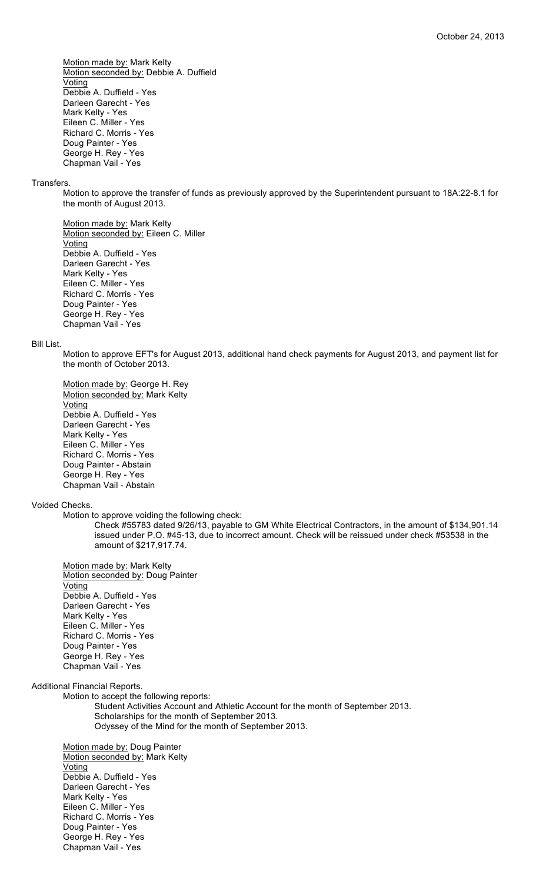Motion made by: Mark Kelty Motion seconded by: Debbie A. Duffield Voting Debbie A. Duffield - Yes Darleen Garecht - Yes Mark Kelty - Yes Eileen C. Miller - Yes Richard C. Morris - Yes Doug Painter - Yes George H. Rey - Yes Chapman Vail - Yes

#### Transfers.

Motion to approve the transfer of funds as previously approved by the Superintendent pursuant to 18A:22-8.1 for the month of August 2013.

Motion made by: Mark Kelty Motion seconded by: Eileen C. Miller **Voting** Debbie A. Duffield - Yes Darleen Garecht - Yes Mark Kelty - Yes Eileen C. Miller - Yes Richard C. Morris - Yes Doug Painter - Yes George H. Rey - Yes Chapman Vail - Yes

# Bill List.

Motion to approve EFT's for August 2013, additional hand check payments for August 2013, and payment list for the month of October 2013.

Motion made by: George H. Rey Motion seconded by: Mark Kelty Voting Debbie A. Duffield - Yes Darleen Garecht - Yes Mark Kelty - Yes Eileen C. Miller - Yes Richard C. Morris - Yes Doug Painter - Abstain George H. Rey - Yes Chapman Vail - Abstain

# Voided Checks.

Motion to approve voiding the following check:

Check #55783 dated 9/26/13, payable to GM White Electrical Contractors, in the amount of \$134,901.14 issued under P.O. #45-13, due to incorrect amount. Check will be reissued under check #53538 in the amount of \$217,917.74.

Motion made by: Mark Kelty Motion seconded by: Doug Painter Voting Debbie A. Duffield - Yes Darleen Garecht - Yes Mark Kelty - Yes Eileen C. Miller - Yes Richard C. Morris - Yes Doug Painter - Yes George H. Rey - Yes Chapman Vail - Yes

Additional Financial Reports.

Motion to accept the following reports: Student Activities Account and Athletic Account for the month of September 2013. Scholarships for the month of September 2013. Odyssey of the Mind for the month of September 2013.

Motion made by: Doug Painter Motion seconded by: Mark Kelty **Voting** Debbie A. Duffield - Yes Darleen Garecht - Yes Mark Kelty - Yes Eileen C. Miller - Yes Richard C. Morris - Yes Doug Painter - Yes George H. Rey - Yes Chapman Vail - Yes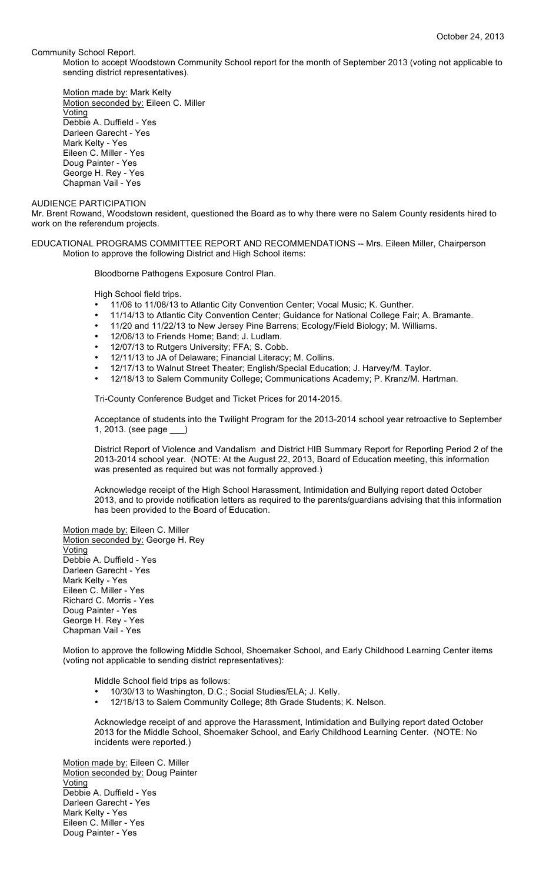Community School Report.

Motion to accept Woodstown Community School report for the month of September 2013 (voting not applicable to sending district representatives).

Motion made by: Mark Kelty Motion seconded by: Eileen C. Miller Voting Debbie A. Duffield - Yes Darleen Garecht - Yes Mark Kelty - Yes Eileen C. Miller - Yes Doug Painter - Yes George H. Rey - Yes Chapman Vail - Yes

#### AUDIENCE PARTICIPATION

Mr. Brent Rowand, Woodstown resident, questioned the Board as to why there were no Salem County residents hired to work on the referendum projects.

EDUCATIONAL PROGRAMS COMMITTEE REPORT AND RECOMMENDATIONS -- Mrs. Eileen Miller, Chairperson Motion to approve the following District and High School items:

Bloodborne Pathogens Exposure Control Plan.

High School field trips.

- 11/06 to 11/08/13 to Atlantic City Convention Center; Vocal Music; K. Gunther.
- 11/14/13 to Atlantic City Convention Center; Guidance for National College Fair; A. Bramante.
- 11/20 and 11/22/13 to New Jersey Pine Barrens; Ecology/Field Biology; M. Williams.
- 12/06/13 to Friends Home; Band; J. Ludlam.
- 12/07/13 to Rutgers University; FFA; S. Cobb.
- 12/11/13 to JA of Delaware; Financial Literacy; M. Collins.
- 12/17/13 to Walnut Street Theater; English/Special Education; J. Harvey/M. Taylor.
- 12/18/13 to Salem Community College; Communications Academy; P. Kranz/M. Hartman.

Tri-County Conference Budget and Ticket Prices for 2014-2015.

Acceptance of students into the Twilight Program for the 2013-2014 school year retroactive to September 1, 2013. (see page \_\_\_)

District Report of Violence and Vandalism and District HIB Summary Report for Reporting Period 2 of the 2013-2014 school year. (NOTE: At the August 22, 2013, Board of Education meeting, this information was presented as required but was not formally approved.)

Acknowledge receipt of the High School Harassment, Intimidation and Bullying report dated October 2013, and to provide notification letters as required to the parents/guardians advising that this information has been provided to the Board of Education.

Motion made by: Eileen C. Miller Motion seconded by: George H. Rey Voting Debbie A. Duffield - Yes Darleen Garecht - Yes Mark Kelty - Yes Eileen C. Miller - Yes Richard C. Morris - Yes Doug Painter - Yes George H. Rey - Yes Chapman Vail - Yes

Motion to approve the following Middle School, Shoemaker School, and Early Childhood Learning Center items (voting not applicable to sending district representatives):

Middle School field trips as follows:

- 10/30/13 to Washington, D.C.; Social Studies/ELA; J. Kelly.
- 12/18/13 to Salem Community College; 8th Grade Students; K. Nelson.

Acknowledge receipt of and approve the Harassment, Intimidation and Bullying report dated October 2013 for the Middle School, Shoemaker School, and Early Childhood Learning Center. (NOTE: No incidents were reported.)

Motion made by: Eileen C. Miller Motion seconded by: Doug Painter Voting Debbie A. Duffield - Yes Darleen Garecht - Yes Mark Kelty - Yes Eileen C. Miller - Yes Doug Painter - Yes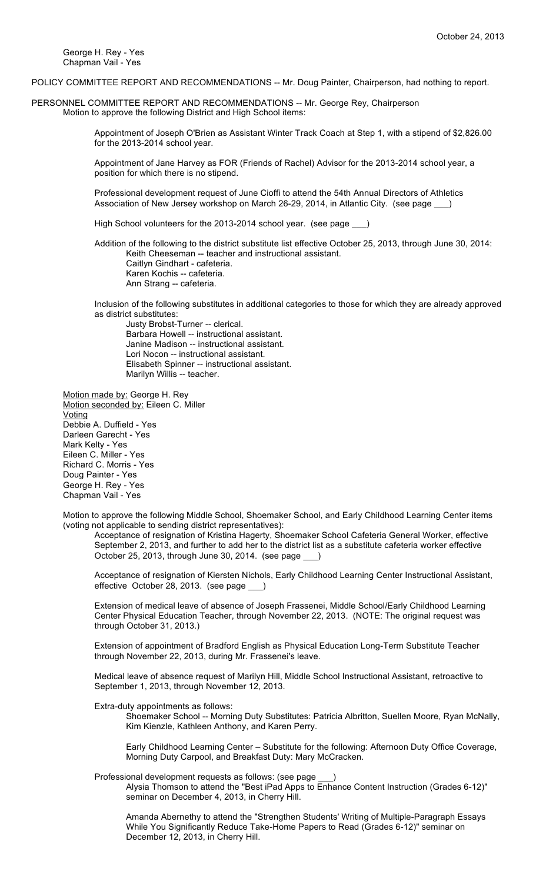George H. Rey - Yes Chapman Vail - Yes

POLICY COMMITTEE REPORT AND RECOMMENDATIONS -- Mr. Doug Painter, Chairperson, had nothing to report.

PERSONNEL COMMITTEE REPORT AND RECOMMENDATIONS -- Mr. George Rey, Chairperson Motion to approve the following District and High School items:

> Appointment of Joseph O'Brien as Assistant Winter Track Coach at Step 1, with a stipend of \$2,826.00 for the 2013-2014 school year.

Appointment of Jane Harvey as FOR (Friends of Rachel) Advisor for the 2013-2014 school year, a position for which there is no stipend.

Professional development request of June Cioffi to attend the 54th Annual Directors of Athletics Association of New Jersey workshop on March 26-29, 2014, in Atlantic City. (see page  $\qquad$ 

High School volunteers for the 2013-2014 school year. (see page

Addition of the following to the district substitute list effective October 25, 2013, through June 30, 2014: Keith Cheeseman -- teacher and instructional assistant. Caitlyn Gindhart - cafeteria. Karen Kochis -- cafeteria. Ann Strang -- cafeteria.

Inclusion of the following substitutes in additional categories to those for which they are already approved as district substitutes:

Justy Brobst-Turner -- clerical. Barbara Howell -- instructional assistant. Janine Madison -- instructional assistant. Lori Nocon -- instructional assistant. Elisabeth Spinner -- instructional assistant. Marilyn Willis -- teacher.

Motion made by: George H. Rey Motion seconded by: Eileen C. Miller Voting Debbie A. Duffield - Yes Darleen Garecht - Yes Mark Kelty - Yes Eileen C. Miller - Yes Richard C. Morris - Yes Doug Painter - Yes George H. Rey - Yes Chapman Vail - Yes

Motion to approve the following Middle School, Shoemaker School, and Early Childhood Learning Center items (voting not applicable to sending district representatives):

Acceptance of resignation of Kristina Hagerty, Shoemaker School Cafeteria General Worker, effective September 2, 2013, and further to add her to the district list as a substitute cafeteria worker effective October 25, 2013, through June 30, 2014. (see page \_\_\_)

Acceptance of resignation of Kiersten Nichols, Early Childhood Learning Center Instructional Assistant, effective October 28, 2013. (see page \_

Extension of medical leave of absence of Joseph Frassenei, Middle School/Early Childhood Learning Center Physical Education Teacher, through November 22, 2013. (NOTE: The original request was through October 31, 2013.)

Extension of appointment of Bradford English as Physical Education Long-Term Substitute Teacher through November 22, 2013, during Mr. Frassenei's leave.

Medical leave of absence request of Marilyn Hill, Middle School Instructional Assistant, retroactive to September 1, 2013, through November 12, 2013.

Extra-duty appointments as follows:

Shoemaker School -- Morning Duty Substitutes: Patricia Albritton, Suellen Moore, Ryan McNally, Kim Kienzle, Kathleen Anthony, and Karen Perry.

Early Childhood Learning Center – Substitute for the following: Afternoon Duty Office Coverage, Morning Duty Carpool, and Breakfast Duty: Mary McCracken.

Professional development requests as follows: (see page \_\_\_)

Alysia Thomson to attend the "Best iPad Apps to Enhance Content Instruction (Grades 6-12)" seminar on December 4, 2013, in Cherry Hill.

Amanda Abernethy to attend the "Strengthen Students' Writing of Multiple-Paragraph Essays While You Significantly Reduce Take-Home Papers to Read (Grades 6-12)" seminar on December 12, 2013, in Cherry Hill.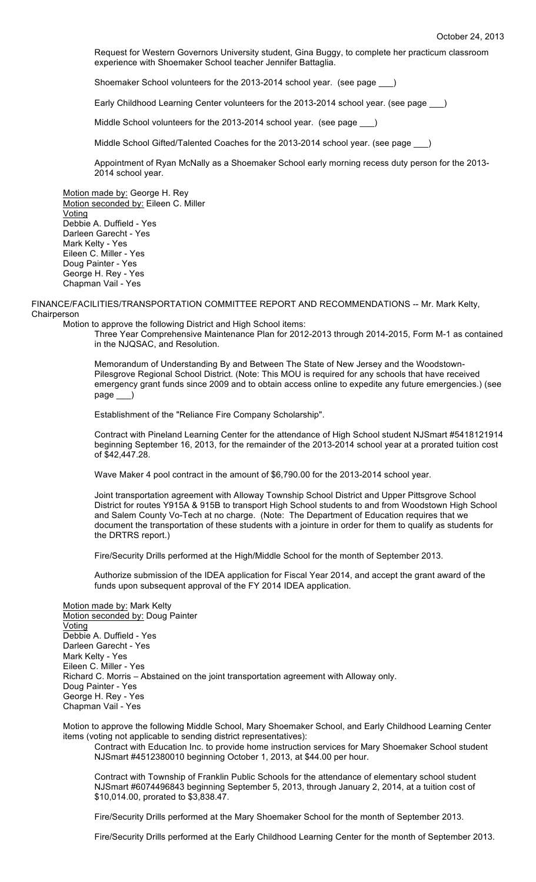Request for Western Governors University student, Gina Buggy, to complete her practicum classroom experience with Shoemaker School teacher Jennifer Battaglia.

Shoemaker School volunteers for the 2013-2014 school year. (see page \_\_\_)

Early Childhood Learning Center volunteers for the 2013-2014 school year. (see page \_\_\_)

Middle School volunteers for the 2013-2014 school year. (see page \_\_\_)

Middle School Gifted/Talented Coaches for the 2013-2014 school year. (see page \_\_\_)

Appointment of Ryan McNally as a Shoemaker School early morning recess duty person for the 2013- 2014 school year.

Motion made by: George H. Rey Motion seconded by: Eileen C. Miller Voting Debbie A. Duffield - Yes Darleen Garecht - Yes Mark Kelty - Yes Eileen C. Miller - Yes Doug Painter - Yes George H. Rey - Yes Chapman Vail - Yes

FINANCE/FACILITIES/TRANSPORTATION COMMITTEE REPORT AND RECOMMENDATIONS -- Mr. Mark Kelty, **Chairperson** 

Motion to approve the following District and High School items:

Three Year Comprehensive Maintenance Plan for 2012-2013 through 2014-2015, Form M-1 as contained in the NJQSAC, and Resolution.

Memorandum of Understanding By and Between The State of New Jersey and the Woodstown-Pilesgrove Regional School District. (Note: This MOU is required for any schools that have received emergency grant funds since 2009 and to obtain access online to expedite any future emergencies.) (see page \_\_\_)

Establishment of the "Reliance Fire Company Scholarship".

Contract with Pineland Learning Center for the attendance of High School student NJSmart #5418121914 beginning September 16, 2013, for the remainder of the 2013-2014 school year at a prorated tuition cost of \$42,447.28.

Wave Maker 4 pool contract in the amount of \$6,790.00 for the 2013-2014 school year.

Joint transportation agreement with Alloway Township School District and Upper Pittsgrove School District for routes Y915A & 915B to transport High School students to and from Woodstown High School and Salem County Vo-Tech at no charge. (Note: The Department of Education requires that we document the transportation of these students with a jointure in order for them to qualify as students for the DRTRS report.)

Fire/Security Drills performed at the High/Middle School for the month of September 2013.

Authorize submission of the IDEA application for Fiscal Year 2014, and accept the grant award of the funds upon subsequent approval of the FY 2014 IDEA application.

Motion made by: Mark Kelty Motion seconded by: Doug Painter **Voting** Debbie A. Duffield - Yes Darleen Garecht - Yes Mark Kelty - Yes Eileen C. Miller - Yes Richard C. Morris – Abstained on the joint transportation agreement with Alloway only. Doug Painter - Yes George H. Rey - Yes Chapman Vail - Yes

Motion to approve the following Middle School, Mary Shoemaker School, and Early Childhood Learning Center items (voting not applicable to sending district representatives):

Contract with Education Inc. to provide home instruction services for Mary Shoemaker School student NJSmart #4512380010 beginning October 1, 2013, at \$44.00 per hour.

Contract with Township of Franklin Public Schools for the attendance of elementary school student NJSmart #6074496843 beginning September 5, 2013, through January 2, 2014, at a tuition cost of \$10,014.00, prorated to \$3,838.47.

Fire/Security Drills performed at the Mary Shoemaker School for the month of September 2013.

Fire/Security Drills performed at the Early Childhood Learning Center for the month of September 2013.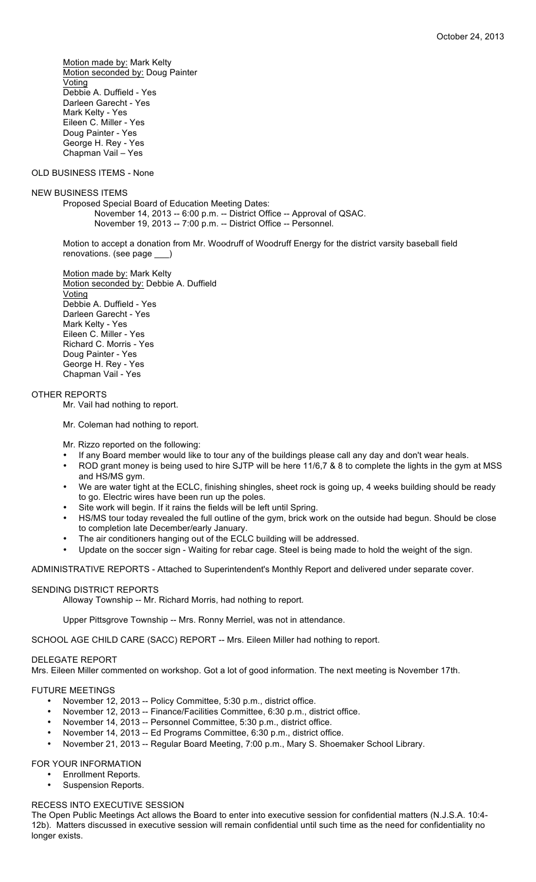Motion made by: Mark Kelty Motion seconded by: Doug Painter Voting Debbie A. Duffield - Yes Darleen Garecht - Yes Mark Kelty - Yes Eileen C. Miller - Yes Doug Painter - Yes George H. Rey - Yes Chapman Vail – Yes

# OLD BUSINESS ITEMS - None

### NEW BUSINESS ITEMS

Proposed Special Board of Education Meeting Dates: November 14, 2013 -- 6:00 p.m. -- District Office -- Approval of QSAC. November 19, 2013 -- 7:00 p.m. -- District Office -- Personnel.

Motion to accept a donation from Mr. Woodruff of Woodruff Energy for the district varsity baseball field renovations. (see page \_\_\_)

Motion made by: Mark Kelty Motion seconded by: Debbie A. Duffield Voting Debbie A. Duffield - Yes Darleen Garecht - Yes Mark Kelty - Yes Eileen C. Miller - Yes Richard C. Morris - Yes Doug Painter - Yes George H. Rey - Yes Chapman Vail - Yes

### OTHER REPORTS

Mr. Vail had nothing to report.

Mr. Coleman had nothing to report.

Mr. Rizzo reported on the following:

- If any Board member would like to tour any of the buildings please call any day and don't wear heals.
- ROD grant money is being used to hire SJTP will be here 11/6,7 & 8 to complete the lights in the gym at MSS and HS/MS gym.
- We are water tight at the ECLC, finishing shingles, sheet rock is going up, 4 weeks building should be ready to go. Electric wires have been run up the poles.
- Site work will begin. If it rains the fields will be left until Spring.
- HS/MS tour today revealed the full outline of the gym, brick work on the outside had begun. Should be close to completion late December/early January.
- The air conditioners hanging out of the ECLC building will be addressed.
- Update on the soccer sign Waiting for rebar cage. Steel is being made to hold the weight of the sign.

ADMINISTRATIVE REPORTS - Attached to Superintendent's Monthly Report and delivered under separate cover.

# SENDING DISTRICT REPORTS

Alloway Township -- Mr. Richard Morris, had nothing to report.

Upper Pittsgrove Township -- Mrs. Ronny Merriel, was not in attendance.

SCHOOL AGE CHILD CARE (SACC) REPORT -- Mrs. Eileen Miller had nothing to report.

### DELEGATE REPORT

Mrs. Eileen Miller commented on workshop. Got a lot of good information. The next meeting is November 17th.

#### FUTURE MEETINGS

- November 12, 2013 -- Policy Committee, 5:30 p.m., district office.
- November 12, 2013 -- Finance/Facilities Committee, 6:30 p.m., district office.
- November 14, 2013 -- Personnel Committee, 5:30 p.m., district office.
- November 14, 2013 -- Ed Programs Committee, 6:30 p.m., district office.
- November 21, 2013 -- Regular Board Meeting, 7:00 p.m., Mary S. Shoemaker School Library.

FOR YOUR INFORMATION

- Enrollment Reports.
- Suspension Reports.

### RECESS INTO EXECUTIVE SESSION

The Open Public Meetings Act allows the Board to enter into executive session for confidential matters (N.J.S.A. 10:4- 12b). Matters discussed in executive session will remain confidential until such time as the need for confidentiality no longer exists.